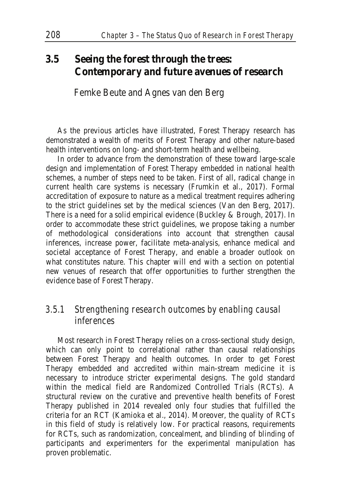# **3.5 Seeing the forest through the trees: Contemporary and future avenues of research**

Femke Beute and Agnes van den Berg

As the previous articles have illustrated, Forest Therapy research has demonstrated a wealth of merits of Forest Therapy and other nature-based health interventions on long- and short-term health and wellbeing.

In order to advance from the demonstration of these toward large-scale design and implementation of Forest Therapy embedded in national health schemes, a number of steps need to be taken. First of all, radical change in current health care systems is necessary (Frumkin et al., 2017). Formal accreditation of exposure to nature as a medical treatment requires adhering to the strict guidelines set by the medical sciences (Van den Berg, 2017). There is a need for a solid empirical evidence (Buckley & Brough, 2017). In order to accommodate these strict guidelines, we propose taking a number of methodological considerations into account that strengthen causal inferences, increase power, facilitate meta-analysis, enhance medical and societal acceptance of Forest Therapy, and enable a broader outlook on what constitutes nature. This chapter will end with a section on potential new venues of research that offer opportunities to further strengthen the evidence base of Forest Therapy.

## *3.5.1 Strengthening research outcomes by enabling causal inferences*

Most research in Forest Therapy relies on a cross-sectional study design, which can only point to correlational rather than causal relationships between Forest Therapy and health outcomes. In order to get Forest Therapy embedded and accredited within main-stream medicine it is necessary to introduce stricter experimental designs. The gold standard within the medical field are Randomized Controlled Trials (RCTs). A structural review on the curative and preventive health benefits of Forest Therapy published in 2014 revealed only four studies that fulfilled the criteria for an RCT (Kamioka et al., 2014). Moreover, the quality of RCTs in this field of study is relatively low. For practical reasons, requirements for RCTs, such as randomization, concealment, and blinding of blinding of participants and experimenters for the experimental manipulation has proven problematic.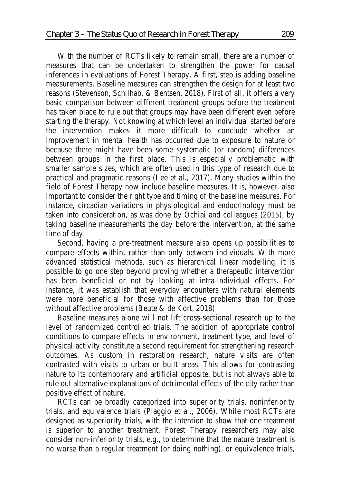With the number of RCTs likely to remain small, there are a number of measures that can be undertaken to strengthen the power for causal inferences in evaluations of Forest Therapy. A first, step is adding baseline measurements. Baseline measures can strengthen the design for at least two reasons (Stevenson, Schilhab, & Bentsen, 2018). First of all, it offers a very basic comparison between different treatment groups before the treatment has taken place to rule out that groups may have been different even before starting the therapy. Not knowing at which level an individual started before the intervention makes it more difficult to conclude whether an improvement in mental health has occurred due to exposure to nature or because there might have been some systematic (or random) differences between groups in the first place. This is especially problematic with smaller sample sizes, which are often used in this type of research due to practical and pragmatic reasons (Lee et al., 2017). Many studies within the field of Forest Therapy now include baseline measures. It is, however, also important to consider the right type and timing of the baseline measures. For instance, circadian variations in physiological and endocrinology must be taken into consideration, as was done by Ochiai and colleagues (2015), by taking baseline measurements the day before the intervention, at the same time of day.

Second, having a pre-treatment measure also opens up possibilities to compare effects within, rather than only between individuals. With more advanced statistical methods, such as hierarchical linear modelling, it is possible to go one step beyond proving whether a therapeutic intervention has been beneficial or not by looking at intra-individual effects. For instance, it was establish that everyday encounters with natural elements were more beneficial for those with affective problems than for those without affective problems (Beute & de Kort, 2018).

Baseline measures alone will not lift cross-sectional research up to the level of randomized controlled trials. The addition of appropriate control conditions to compare effects in environment, treatment type, and level of physical activity constitute a second requirement for strengthening research outcomes. As custom in restoration research, nature visits are often contrasted with visits to urban or built areas. This allows for contrasting nature to its contemporary and artificial opposite, but is not always able to rule out alternative explanations of detrimental effects of the city rather than positive effect of nature.

RCTs can be broadly categorized into superiority trials, noninferiority trials, and equivalence trials (Piaggio et al., 2006). While most RCTs are designed as superiority trials, with the intention to show that one treatment is superior to another treatment, Forest Therapy researchers may also consider non-inferiority trials, e.g., to determine that the nature treatment is no worse than a regular treatment (or doing nothing), or equivalence trials,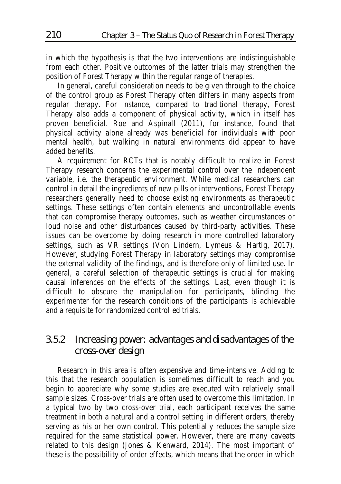in which the hypothesis is that the two interventions are indistinguishable from each other. Positive outcomes of the latter trials may strengthen the position of Forest Therapy within the regular range of therapies.

In general, careful consideration needs to be given through to the choice of the control group as Forest Therapy often differs in many aspects from regular therapy. For instance, compared to traditional therapy, Forest Therapy also adds a component of physical activity, which in itself has proven beneficial. Roe and Aspinall (2011), for instance, found that physical activity alone already was beneficial for individuals with poor mental health, but walking in natural environments did appear to have added benefits.

A requirement for RCTs that is notably difficult to realize in Forest Therapy research concerns the experimental control over the independent variable, i.e. the therapeutic environment. While medical researchers can control in detail the ingredients of new pills or interventions, Forest Therapy researchers generally need to choose existing environments as therapeutic settings. These settings often contain elements and uncontrollable events that can compromise therapy outcomes, such as weather circumstances or loud noise and other disturbances caused by third-party activities. These issues can be overcome by doing research in more controlled laboratory settings, such as VR settings (Von Lindern, Lymeus & Hartig, 2017). However, studying Forest Therapy in laboratory settings may compromise the external validity of the findings, and is therefore only of limited use. In general, a careful selection of therapeutic settings is crucial for making causal inferences on the effects of the settings. Last, even though it is difficult to obscure the manipulation for participants, blinding the experimenter for the research conditions of the participants is achievable and a requisite for randomized controlled trials.

# *3.5.2 Increasing power: advantages and disadvantages of the cross-over design*

Research in this area is often expensive and time-intensive. Adding to this that the research population is sometimes difficult to reach and you begin to appreciate why some studies are executed with relatively small sample sizes. Cross-over trials are often used to overcome this limitation. In a typical two by two cross-over trial, each participant receives the same treatment in both a natural and a control setting in different orders, thereby serving as his or her own control. This potentially reduces the sample size required for the same statistical power. However, there are many caveats related to this design (Jones & Kenward, 2014). The most important of these is the possibility of order effects, which means that the order in which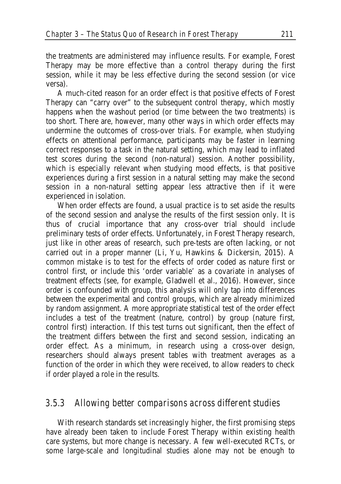the treatments are administered may influence results. For example, Forest Therapy may be more effective than a control therapy during the first session, while it may be less effective during the second session (or vice versa).

A much-cited reason for an order effect is that positive effects of Forest Therapy can "carry over" to the subsequent control therapy, which mostly happens when the washout period (or time between the two treatments) is too short. There are, however, many other ways in which order effects may undermine the outcomes of cross-over trials. For example, when studying effects on attentional performance, participants may be faster in learning correct responses to a task in the natural setting, which may lead to inflated test scores during the second (non-natural) session. Another possibility, which is especially relevant when studying mood effects, is that positive experiences during a first session in a natural setting may make the second session in a non-natural setting appear less attractive then if it were experienced in isolation.

When order effects are found, a usual practice is to set aside the results of the second session and analyse the results of the first session only. It is thus of crucial importance that any cross-over trial should include preliminary tests of order effects. Unfortunately, in Forest Therapy research, just like in other areas of research, such pre-tests are often lacking, or not carried out in a proper manner (Li, Yu, Hawkins & Dickersin, 2015). A common mistake is to test for the effects of order coded as nature first or control first, or include this 'order variable' as a covariate in analyses of treatment effects (see, for example, Gladwell et al., 2016). However, since order is confounded with group, this analysis will only tap into differences between the experimental and control groups, which are already minimized by random assignment. A more appropriate statistical test of the order effect includes a test of the treatment (nature, control) by group (nature first, control first) interaction. If this test turns out significant, then the effect of the treatment differs between the first and second session, indicating an order effect. As a minimum, in research using a cross-over design, researchers should always present tables with treatment averages as a function of the order in which they were received, to allow readers to check if order played a role in the results.

### *3.5.3 Allowing better comparisons across different studies*

With research standards set increasingly higher, the first promising steps have already been taken to include Forest Therapy within existing health care systems, but more change is necessary. A few well-executed RCTs, or some large-scale and longitudinal studies alone may not be enough to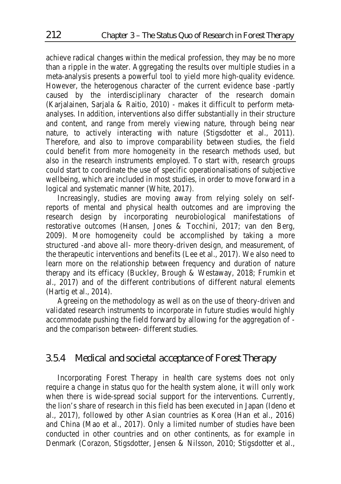achieve radical changes within the medical profession, they may be no more than a ripple in the water. Aggregating the results over multiple studies in a meta-analysis presents a powerful tool to yield more high-quality evidence. However, the heterogenous character of the current evidence base -partly caused by the interdisciplinary character of the research domain (Karjalainen, Sarjala & Raitio, 2010) - makes it difficult to perform metaanalyses. In addition, interventions also differ substantially in their structure and content, and range from merely viewing nature, through being near nature, to actively interacting with nature (Stigsdotter et al., 2011). Therefore, and also to improve comparability between studies, the field could benefit from more homogeneity in the research methods used, but also in the research instruments employed. To start with, research groups could start to coordinate the use of specific operationalisations of subjective wellbeing, which are included in most studies, in order to move forward in a logical and systematic manner (White, 2017).

Increasingly, studies are moving away from relying solely on selfreports of mental and physical health outcomes and are improving the research design by incorporating neurobiological manifestations of restorative outcomes (Hansen, Jones & Tocchini, 2017; van den Berg, 2009). More homogeneity could be accomplished by taking a more structured -and above all- more theory-driven design, and measurement, of the therapeutic interventions and benefits (Lee et al., 2017). We also need to learn more on the relationship between frequency and duration of nature therapy and its efficacy (Buckley, Brough & Westaway, 2018; Frumkin et al., 2017) and of the different contributions of different natural elements (Hartig et al., 2014).

Agreeing on the methodology as well as on the use of theory-driven and validated research instruments to incorporate in future studies would highly accommodate pushing the field forward by allowing for the aggregation of and the comparison between- different studies.

### *3.5.4 Medical and societal acceptance of Forest Therapy*

Incorporating Forest Therapy in health care systems does not only require a change in status quo for the health system alone, it will only work when there is wide-spread social support for the interventions. Currently, the lion's share of research in this field has been executed in Japan (Ideno et al., 2017), followed by other Asian countries as Korea (Han et al., 2016) and China (Mao et al., 2017). Only a limited number of studies have been conducted in other countries and on other continents, as for example in Denmark (Corazon, Stigsdotter, Jensen & Nilsson, 2010; Stigsdotter et al.,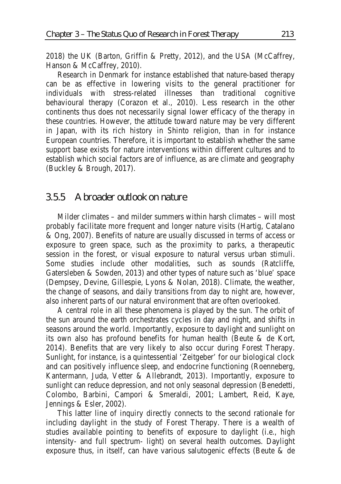2018) the UK (Barton, Griffin & Pretty, 2012), and the USA (McCaffrey, Hanson & McCaffrey, 2010).

Research in Denmark for instance established that nature-based therapy can be as effective in lowering visits to the general practitioner for individuals with stress-related illnesses than traditional cognitive behavioural therapy (Corazon et al., 2010). Less research in the other continents thus does not necessarily signal lower efficacy of the therapy in these countries. However, the attitude toward nature may be very different in Japan, with its rich history in Shinto religion, than in for instance European countries. Therefore, it is important to establish whether the same support base exists for nature interventions within different cultures and to establish which social factors are of influence, as are climate and geography (Buckley & Brough, 2017).

### *3.5.5 A broader outlook on nature*

Milder climates – and milder summers within harsh climates – will most probably facilitate more frequent and longer nature visits (Hartig, Catalano & Ong, 2007). Benefits of nature are usually discussed in terms of access or exposure to green space, such as the proximity to parks, a therapeutic session in the forest, or visual exposure to natural versus urban stimuli. Some studies include other modalities, such as sounds (Ratcliffe, Gatersleben & Sowden, 2013) and other types of nature such as 'blue' space (Dempsey, Devine, Gillespie, Lyons & Nolan, 2018). Climate, the weather, the change of seasons, and daily transitions from day to night are, however, also inherent parts of our natural environment that are often overlooked.

A central role in all these phenomena is played by the sun. The orbit of the sun around the earth orchestrates cycles in day and night, and shifts in seasons around the world. Importantly, exposure to daylight and sunlight on its own also has profound benefits for human health (Beute & de Kort, 2014). Benefits that are very likely to also occur during Forest Therapy. Sunlight, for instance, is a quintessential 'Zeitgeber' for our biological clock and can positively influence sleep, and endocrine functioning (Roenneberg, Kantermann, Juda, Vetter & Allebrandt, 2013). Importantly, exposure to sunlight can reduce depression, and not only seasonal depression (Benedetti, Colombo, Barbini, Campori & Smeraldi, 2001; Lambert, Reid, Kaye, Jennings & Esler, 2002).

This latter line of inquiry directly connects to the second rationale for including daylight in the study of Forest Therapy. There is a wealth of studies available pointing to benefits of exposure to daylight (i.e., high intensity- and full spectrum- light) on several health outcomes. Daylight exposure thus, in itself, can have various salutogenic effects (Beute & de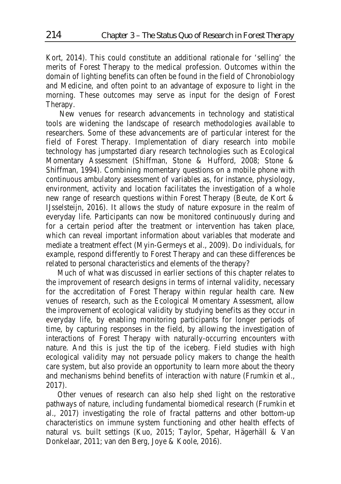Kort, 2014). This could constitute an additional rationale for 'selling' the merits of Forest Therapy to the medical profession. Outcomes within the domain of lighting benefits can often be found in the field of Chronobiology and Medicine, and often point to an advantage of exposure to light in the morning. These outcomes may serve as input for the design of Forest Therapy.

 New venues for research advancements in technology and statistical tools are widening the landscape of research methodologies available to researchers. Some of these advancements are of particular interest for the field of Forest Therapy. Implementation of diary research into mobile technology has jumpstarted diary research technologies such as Ecological Momentary Assessment (Shiffman, Stone & Hufford, 2008; Stone & Shiffman, 1994). Combining momentary questions on a mobile phone with continuous ambulatory assessment of variables as, for instance, physiology, environment, activity and location facilitates the investigation of a whole new range of research questions within Forest Therapy (Beute, de Kort & IJsselsteijn, 2016). It allows the study of nature exposure in the realm of everyday life. Participants can now be monitored continuously during and for a certain period after the treatment or intervention has taken place, which can reveal important information about variables that moderate and mediate a treatment effect (Myin-Germeys et al., 2009). Do individuals, for example, respond differently to Forest Therapy and can these differences be related to personal characteristics and elements of the therapy?

Much of what was discussed in earlier sections of this chapter relates to the improvement of research designs in terms of internal validity, necessary for the accreditation of Forest Therapy within regular health care. New venues of research, such as the Ecological Momentary Assessment, allow the improvement of ecological validity by studying benefits as they occur in everyday life, by enabling monitoring participants for longer periods of time, by capturing responses in the field, by allowing the investigation of interactions of Forest Therapy with naturally-occurring encounters with nature. And this is just the tip of the iceberg. Field studies with high ecological validity may not persuade policy makers to change the health care system, but also provide an opportunity to learn more about the theory and mechanisms behind benefits of interaction with nature (Frumkin et al., 2017).

Other venues of research can also help shed light on the restorative pathways of nature, including fundamental biomedical research (Frumkin et al., 2017) investigating the role of fractal patterns and other bottom-up characteristics on immune system functioning and other health effects of natural vs. built settings (Kuo, 2015; Taylor, Spehar, Hägerhäll & Van Donkelaar, 2011; van den Berg, Joye & Koole, 2016).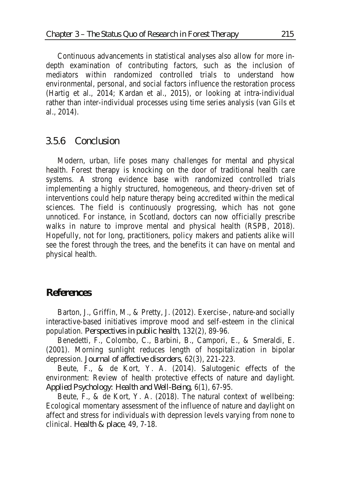Continuous advancements in statistical analyses also allow for more indepth examination of contributing factors, such as the inclusion of mediators within randomized controlled trials to understand how environmental, personal, and social factors influence the restoration process (Hartig et al., 2014; Kardan et al., 2015), or looking at intra-individual rather than inter-individual processes using time series analysis (van Gils et al., 2014).

#### *3.5.6 Conclusion*

Modern, urban, life poses many challenges for mental and physical health. Forest therapy is knocking on the door of traditional health care systems. A strong evidence base with randomized controlled trials implementing a highly structured, homogeneous, and theory-driven set of interventions could help nature therapy being accredited within the medical sciences. The field is continuously progressing, which has not gone unnoticed. For instance, in Scotland, doctors can now officially prescribe walks in nature to improve mental and physical health (RSPB, 2018). Hopefully, not for long, practitioners, policy makers and patients alike will see the forest through the trees, and the benefits it can have on mental and physical health.

### *References*

Barton, J., Griffin, M., & Pretty, J. (2012). Exercise-, nature-and socially interactive-based initiatives improve mood and self-esteem in the clinical population. *Perspectives in public health*, 132(2), 89-96.

Benedetti, F., Colombo, C., Barbini, B., Campori, E., & Smeraldi, E. (2001). Morning sunlight reduces length of hospitalization in bipolar depression. *Journal of affective disorders*, 62(3), 221-223.

Beute, F., & de Kort, Y. A. (2014). Salutogenic effects of the environment: Review of health protective effects of nature and daylight. *Applied Psychology: Health and Well-Being*, 6(1), 67-95.

Beute, F., & de Kort, Y. A. (2018). The natural context of wellbeing: Ecological momentary assessment of the influence of nature and daylight on affect and stress for individuals with depression levels varying from none to clinical. *Health & place*, 49, 7-18.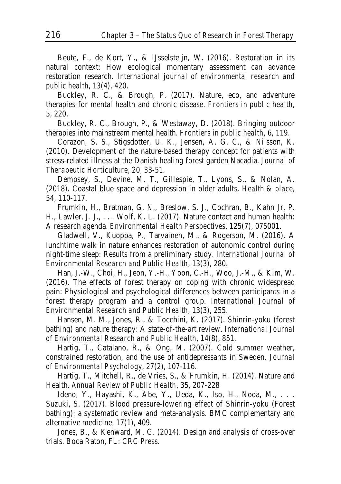Beute, F., de Kort, Y., & IJsselsteijn, W. (2016). Restoration in its natural context: How ecological momentary assessment can advance restoration research. *International journal of environmental research and public health*, 13(4), 420.

Buckley, R. C., & Brough, P. (2017). Nature, eco, and adventure therapies for mental health and chronic disease. *Frontiers in public health*, 5, 220.

Buckley, R. C., Brough, P., & Westaway, D. (2018). Bringing outdoor therapies into mainstream mental health. *Frontiers in public health*, 6, 119.

Corazon, S. S., Stigsdotter, U. K., Jensen, A. G. C., & Nilsson, K. (2010). Development of the nature-based therapy concept for patients with stress-related illness at the Danish healing forest garden Nacadia. *Journal of Therapeutic Horticulture*, 20, 33-51.

Dempsey, S., Devine, M. T., Gillespie, T., Lyons, S., & Nolan, A. (2018). Coastal blue space and depression in older adults. *Health & place*, 54, 110-117.

Frumkin, H., Bratman, G. N., Breslow, S. J., Cochran, B., Kahn Jr, P. H., Lawler, J. J., . . . Wolf, K. L. (2017). Nature contact and human health: A research agenda. *Environmental Health Perspectives*, 125(7), 075001.

Gladwell, V., Kuoppa, P., Tarvainen, M., & Rogerson, M. (2016). A lunchtime walk in nature enhances restoration of autonomic control during night-time sleep: Results from a preliminary study. *International Journal of Environmental Research and Public Health*, 13(3), 280.

Han, J.-W., Choi, H., Jeon, Y.-H., Yoon, C.-H., Woo, J.-M., & Kim, W. (2016). The effects of forest therapy on coping with chronic widespread pain: Physiological and psychological differences between participants in a forest therapy program and a control group. *International Journal of Environmental Research and Public Health*, 13(3), 255.

Hansen, M. M., Jones, R., & Tocchini, K. (2017). Shinrin-yoku (forest bathing) and nature therapy: A state-of-the-art review. *International Journal of Environmental Research and Public Health*, 14(8), 851.

Hartig, T., Catalano, R., & Ong, M. (2007). Cold summer weather, constrained restoration, and the use of antidepressants in Sweden. *Journal of Environmental Psychology*, 27(2), 107-116.

Hartig, T., Mitchell, R., de Vries, S., & Frumkin, H. (2014). Nature and Health. *Annual Review of Public Health*, 35, 207-228

Ideno, Y., Hayashi, K., Abe, Y., Ueda, K., Iso, H., Noda, M., . . . Suzuki, S. (2017). Blood pressure-lowering effect of Shinrin-yoku (Forest bathing): a systematic review and meta-analysis. BMC complementary and alternative medicine, 17(1), 409.

Jones, B., & Kenward, M. G. (2014). Design and analysis of cross-over trials. Boca Raton, FL: CRC Press.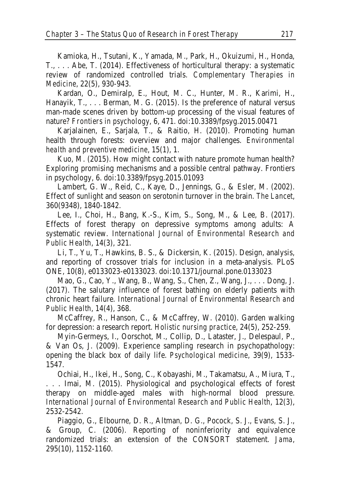Kamioka, H., Tsutani, K., Yamada, M., Park, H., Okuizumi, H., Honda, T., . . . Abe, T. (2014). Effectiveness of horticultural therapy: a systematic review of randomized controlled trials. *Complementary Therapies in Medicine*, 22(5), 930-943.

Kardan, O., Demiralp, E., Hout, M. C., Hunter, M. R., Karimi, H., Hanayik, T., . . . Berman, M. G. (2015). Is the preference of natural versus man-made scenes driven by bottom-up processing of the visual features of nature? *Frontiers in psychology*, 6, 471. doi:10.3389/fpsyg.2015.00471

Karjalainen, E., Sarjala, T., & Raitio, H. (2010). Promoting human health through forests: overview and major challenges. *Environmental health and preventive medicine*, 15(1), 1.

Kuo, M. (2015). How might contact with nature promote human health? Exploring promising mechanisms and a possible central pathway. Frontiers in psychology, 6. doi:10.3389/fpsyg.2015.01093

Lambert, G. W., Reid, C., Kaye, D., Jennings, G., & Esler, M. (2002). Effect of sunlight and season on serotonin turnover in the brain. *The Lancet*, 360(9348), 1840-1842.

Lee, I., Choi, H., Bang, K.-S., Kim, S., Song, M., & Lee, B. (2017). Effects of forest therapy on depressive symptoms among adults: A systematic review. *International Journal of Environmental Research and Public Health*, 14(3), 321.

Li, T., Yu, T., Hawkins, B. S., & Dickersin, K. (2015). Design, analysis, and reporting of crossover trials for inclusion in a meta-analysis. PLoS ONE, 10(8), e0133023-e0133023. doi:10.1371/journal.pone.0133023

Mao, G., Cao, Y., Wang, B., Wang, S., Chen, Z., Wang, J., . . . Dong, J. (2017). The salutary influence of forest bathing on elderly patients with chronic heart failure. *International Journal of Environmental Research and Public Health*, 14(4), 368.

McCaffrey, R., Hanson, C., & McCaffrey, W. (2010). Garden walking for depression: a research report. *Holistic nursing practice*, 24(5), 252-259.

Myin-Germeys, I., Oorschot, M., Collip, D., Lataster, J., Delespaul, P., & Van Os, J. (2009). Experience sampling research in psychopathology: opening the black box of daily life. *Psychological medicine*, 39(9), 1533- 1547.

Ochiai, H., Ikei, H., Song, C., Kobayashi, M., Takamatsu, A., Miura, T., . . . Imai, M. (2015). Physiological and psychological effects of forest therapy on middle-aged males with high-normal blood pressure. *International Journal of Environmental Research and Public Health*, 12(3), 2532-2542.

Piaggio, G., Elbourne, D. R., Altman, D. G., Pocock, S. J., Evans, S. J., & Group, C. (2006). Reporting of noninferiority and equivalence randomized trials: an extension of the CONSORT statement. *Jama*, 295(10), 1152-1160.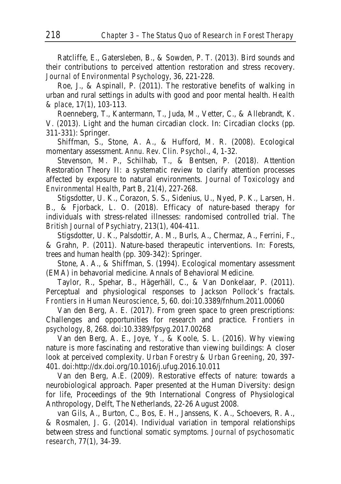Ratcliffe, E., Gatersleben, B., & Sowden, P. T. (2013). Bird sounds and their contributions to perceived attention restoration and stress recovery. *Journal of Environmental Psychology*, 36, 221-228.

Roe, J., & Aspinall, P. (2011). The restorative benefits of walking in urban and rural settings in adults with good and poor mental health. *Health & place*, 17(1), 103-113.

Roenneberg, T., Kantermann, T., Juda, M., Vetter, C., & Allebrandt, K. V. (2013). Light and the human circadian clock. In: Circadian clocks (pp. 311-331): Springer.

Shiffman, S., Stone, A. A., & Hufford, M. R. (2008). Ecological momentary assessment. *Annu. Rev. Clin. Psychol*., 4, 1-32.

Stevenson, M. P., Schilhab, T., & Bentsen, P. (2018). Attention Restoration Theory II: a systematic review to clarify attention processes affected by exposure to natural environments. *Journal of Toxicology and Environmental Health*, Part B, 21(4), 227-268.

Stigsdotter, U. K., Corazon, S. S., Sidenius, U., Nyed, P. K., Larsen, H. B., & Fjorback, L. O. (2018). Efficacy of nature-based therapy for individuals with stress-related illnesses: randomised controlled trial. *The British Journal of Psychiatry*, 213(1), 404-411.

Stigsdotter, U. K., Palsdottir, A. M., Burls, A., Chermaz, A., Ferrini, F., & Grahn, P. (2011). Nature-based therapeutic interventions. In: Forests, trees and human health (pp. 309-342): Springer.

Stone, A. A., & Shiffman, S. (1994). Ecological momentary assessment (EMA) in behavorial medicine. Annals of Behavioral Medicine.

Taylor, R., Spehar, B., Hägerhäll, C., & Van Donkelaar, P. (2011). Perceptual and physiological responses to Jackson Pollock's fractals. *Frontiers in Human Neuroscience*, 5, 60. doi:10.3389/fnhum.2011.00060

Van den Berg, A. E. (2017). From green space to green prescriptions: Challenges and opportunities for research and practice. *Frontiers in psychology*, 8, 268. doi:10.3389/fpsyg.2017.00268

Van den Berg, A. E., Joye, Y., & Koole, S. L. (2016). Why viewing nature is more fascinating and restorative than viewing buildings: A closer look at perceived complexity. *Urban Forestry & Urban Greening*, 20, 397- 401. doi:http://dx.doi.org/10.1016/j.ufug.2016.10.011

Van den Berg, A.E. (2009). Restorative effects of nature: towards a neurobiological approach. Paper presented at the Human Diversity: design for life, Proceedings of the 9th International Congress of Physiological Anthropology, Delft, The Netherlands, 22-26 August 2008.

van Gils, A., Burton, C., Bos, E. H., Janssens, K. A., Schoevers, R. A., & Rosmalen, J. G. (2014). Individual variation in temporal relationships between stress and functional somatic symptoms. *Journal of psychosomatic research*, 77(1), 34-39.